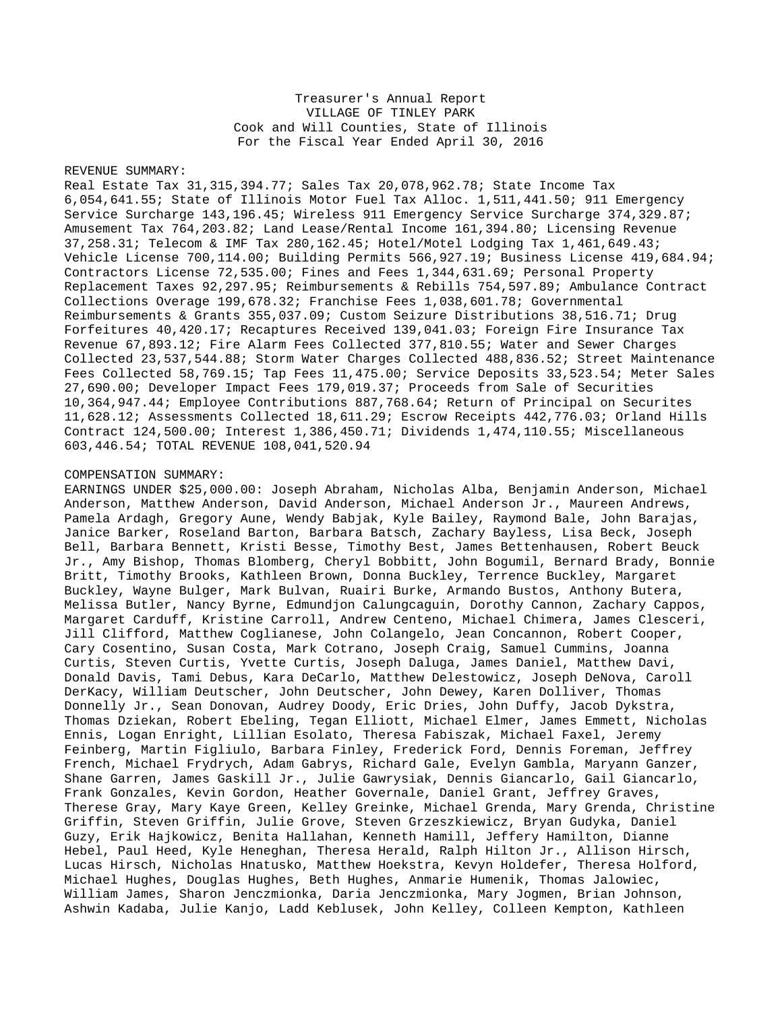## Treasurer's Annual Report VILLAGE OF TINLEY PARK Cook and Will Counties, State of Illinois For the Fiscal Year Ended April 30, 2016

## REVENUE SUMMARY:

Real Estate Tax 31,315,394.77; Sales Tax 20,078,962.78; State Income Tax 6,054,641.55; State of Illinois Motor Fuel Tax Alloc. 1,511,441.50; 911 Emergency Service Surcharge 143,196.45; Wireless 911 Emergency Service Surcharge 374,329.87; Amusement Tax 764,203.82; Land Lease/Rental Income 161,394.80; Licensing Revenue 37,258.31; Telecom & IMF Tax 280,162.45; Hotel/Motel Lodging Tax 1,461,649.43; Vehicle License 700,114.00; Building Permits 566,927.19; Business License 419,684.94; Contractors License 72,535.00; Fines and Fees 1,344,631.69; Personal Property Replacement Taxes 92,297.95; Reimbursements & Rebills 754,597.89; Ambulance Contract Collections Overage 199,678.32; Franchise Fees 1,038,601.78; Governmental Reimbursements & Grants 355,037.09; Custom Seizure Distributions 38,516.71; Drug Forfeitures 40,420.17; Recaptures Received 139,041.03; Foreign Fire Insurance Tax Revenue 67,893.12; Fire Alarm Fees Collected 377,810.55; Water and Sewer Charges Collected 23,537,544.88; Storm Water Charges Collected 488,836.52; Street Maintenance Fees Collected 58,769.15; Tap Fees 11,475.00; Service Deposits 33,523.54; Meter Sales 27,690.00; Developer Impact Fees 179,019.37; Proceeds from Sale of Securities 10,364,947.44; Employee Contributions 887,768.64; Return of Principal on Securites 11,628.12; Assessments Collected 18,611.29; Escrow Receipts 442,776.03; Orland Hills Contract 124,500.00; Interest 1,386,450.71; Dividends 1,474,110.55; Miscellaneous 603,446.54; TOTAL REVENUE 108,041,520.94

## COMPENSATION SUMMARY:

EARNINGS UNDER \$25,000.00: Joseph Abraham, Nicholas Alba, Benjamin Anderson, Michael Anderson, Matthew Anderson, David Anderson, Michael Anderson Jr., Maureen Andrews, Pamela Ardagh, Gregory Aune, Wendy Babjak, Kyle Bailey, Raymond Bale, John Barajas, Janice Barker, Roseland Barton, Barbara Batsch, Zachary Bayless, Lisa Beck, Joseph Bell, Barbara Bennett, Kristi Besse, Timothy Best, James Bettenhausen, Robert Beuck Jr., Amy Bishop, Thomas Blomberg, Cheryl Bobbitt, John Bogumil, Bernard Brady, Bonnie Britt, Timothy Brooks, Kathleen Brown, Donna Buckley, Terrence Buckley, Margaret Buckley, Wayne Bulger, Mark Bulvan, Ruairi Burke, Armando Bustos, Anthony Butera, Melissa Butler, Nancy Byrne, Edmundjon Calungcaguin, Dorothy Cannon, Zachary Cappos, Margaret Carduff, Kristine Carroll, Andrew Centeno, Michael Chimera, James Clesceri, Jill Clifford, Matthew Coglianese, John Colangelo, Jean Concannon, Robert Cooper, Cary Cosentino, Susan Costa, Mark Cotrano, Joseph Craig, Samuel Cummins, Joanna Curtis, Steven Curtis, Yvette Curtis, Joseph Daluga, James Daniel, Matthew Davi, Donald Davis, Tami Debus, Kara DeCarlo, Matthew Delestowicz, Joseph DeNova, Caroll DerKacy, William Deutscher, John Deutscher, John Dewey, Karen Dolliver, Thomas Donnelly Jr., Sean Donovan, Audrey Doody, Eric Dries, John Duffy, Jacob Dykstra, Thomas Dziekan, Robert Ebeling, Tegan Elliott, Michael Elmer, James Emmett, Nicholas Ennis, Logan Enright, Lillian Esolato, Theresa Fabiszak, Michael Faxel, Jeremy Feinberg, Martin Figliulo, Barbara Finley, Frederick Ford, Dennis Foreman, Jeffrey French, Michael Frydrych, Adam Gabrys, Richard Gale, Evelyn Gambla, Maryann Ganzer, Shane Garren, James Gaskill Jr., Julie Gawrysiak, Dennis Giancarlo, Gail Giancarlo, Frank Gonzales, Kevin Gordon, Heather Governale, Daniel Grant, Jeffrey Graves, Therese Gray, Mary Kaye Green, Kelley Greinke, Michael Grenda, Mary Grenda, Christine Griffin, Steven Griffin, Julie Grove, Steven Grzeszkiewicz, Bryan Gudyka, Daniel Guzy, Erik Hajkowicz, Benita Hallahan, Kenneth Hamill, Jeffery Hamilton, Dianne Hebel, Paul Heed, Kyle Heneghan, Theresa Herald, Ralph Hilton Jr., Allison Hirsch, Lucas Hirsch, Nicholas Hnatusko, Matthew Hoekstra, Kevyn Holdefer, Theresa Holford, Michael Hughes, Douglas Hughes, Beth Hughes, Anmarie Humenik, Thomas Jalowiec, William James, Sharon Jenczmionka, Daria Jenczmionka, Mary Jogmen, Brian Johnson, Ashwin Kadaba, Julie Kanjo, Ladd Keblusek, John Kelley, Colleen Kempton, Kathleen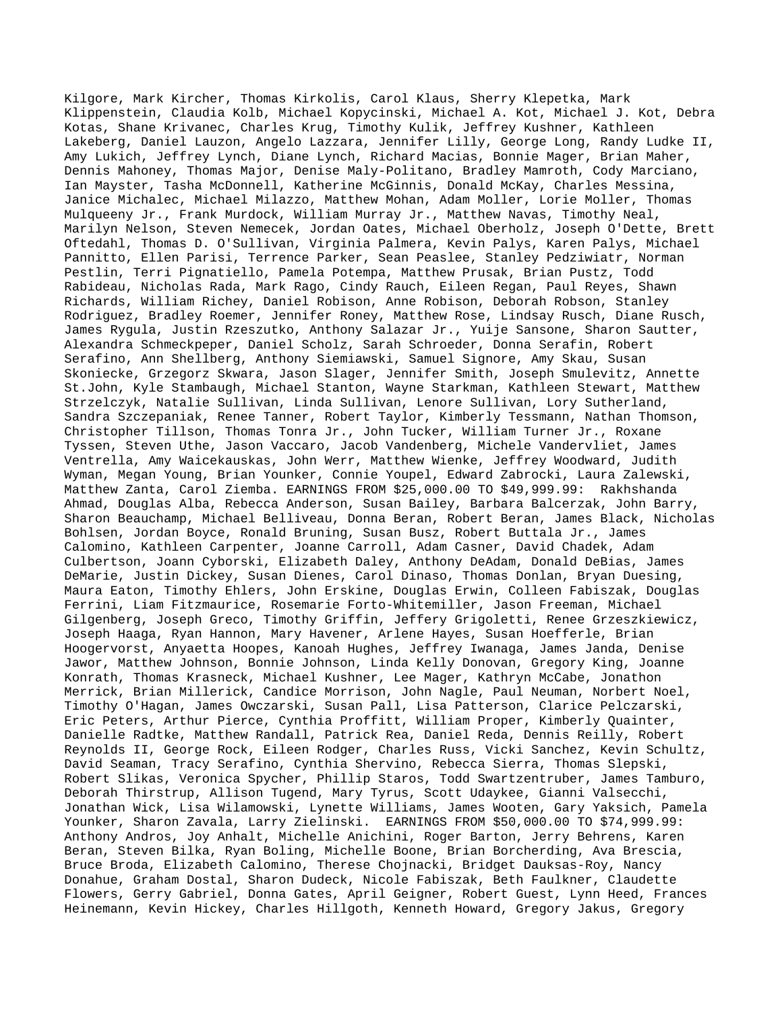Kilgore, Mark Kircher, Thomas Kirkolis, Carol Klaus, Sherry Klepetka, Mark Klippenstein, Claudia Kolb, Michael Kopycinski, Michael A. Kot, Michael J. Kot, Debra Kotas, Shane Krivanec, Charles Krug, Timothy Kulik, Jeffrey Kushner, Kathleen Lakeberg, Daniel Lauzon, Angelo Lazzara, Jennifer Lilly, George Long, Randy Ludke II, Amy Lukich, Jeffrey Lynch, Diane Lynch, Richard Macias, Bonnie Mager, Brian Maher, Dennis Mahoney, Thomas Major, Denise Maly-Politano, Bradley Mamroth, Cody Marciano, Ian Mayster, Tasha McDonnell, Katherine McGinnis, Donald McKay, Charles Messina, Janice Michalec, Michael Milazzo, Matthew Mohan, Adam Moller, Lorie Moller, Thomas Mulqueeny Jr., Frank Murdock, William Murray Jr., Matthew Navas, Timothy Neal, Marilyn Nelson, Steven Nemecek, Jordan Oates, Michael Oberholz, Joseph O'Dette, Brett Oftedahl, Thomas D. O'Sullivan, Virginia Palmera, Kevin Palys, Karen Palys, Michael Pannitto, Ellen Parisi, Terrence Parker, Sean Peaslee, Stanley Pedziwiatr, Norman Pestlin, Terri Pignatiello, Pamela Potempa, Matthew Prusak, Brian Pustz, Todd Rabideau, Nicholas Rada, Mark Rago, Cindy Rauch, Eileen Regan, Paul Reyes, Shawn Richards, William Richey, Daniel Robison, Anne Robison, Deborah Robson, Stanley Rodriguez, Bradley Roemer, Jennifer Roney, Matthew Rose, Lindsay Rusch, Diane Rusch, James Rygula, Justin Rzeszutko, Anthony Salazar Jr., Yuije Sansone, Sharon Sautter, Alexandra Schmeckpeper, Daniel Scholz, Sarah Schroeder, Donna Serafin, Robert Serafino, Ann Shellberg, Anthony Siemiawski, Samuel Signore, Amy Skau, Susan Skoniecke, Grzegorz Skwara, Jason Slager, Jennifer Smith, Joseph Smulevitz, Annette St.John, Kyle Stambaugh, Michael Stanton, Wayne Starkman, Kathleen Stewart, Matthew Strzelczyk, Natalie Sullivan, Linda Sullivan, Lenore Sullivan, Lory Sutherland, Sandra Szczepaniak, Renee Tanner, Robert Taylor, Kimberly Tessmann, Nathan Thomson, Christopher Tillson, Thomas Tonra Jr., John Tucker, William Turner Jr., Roxane Tyssen, Steven Uthe, Jason Vaccaro, Jacob Vandenberg, Michele Vandervliet, James Ventrella, Amy Waicekauskas, John Werr, Matthew Wienke, Jeffrey Woodward, Judith Wyman, Megan Young, Brian Younker, Connie Youpel, Edward Zabrocki, Laura Zalewski, Matthew Zanta, Carol Ziemba. EARNINGS FROM \$25,000.00 TO \$49,999.99: Rakhshanda Ahmad, Douglas Alba, Rebecca Anderson, Susan Bailey, Barbara Balcerzak, John Barry, Sharon Beauchamp, Michael Belliveau, Donna Beran, Robert Beran, James Black, Nicholas Bohlsen, Jordan Boyce, Ronald Bruning, Susan Busz, Robert Buttala Jr., James Calomino, Kathleen Carpenter, Joanne Carroll, Adam Casner, David Chadek, Adam Culbertson, Joann Cyborski, Elizabeth Daley, Anthony DeAdam, Donald DeBias, James DeMarie, Justin Dickey, Susan Dienes, Carol Dinaso, Thomas Donlan, Bryan Duesing, Maura Eaton, Timothy Ehlers, John Erskine, Douglas Erwin, Colleen Fabiszak, Douglas Ferrini, Liam Fitzmaurice, Rosemarie Forto-Whitemiller, Jason Freeman, Michael Gilgenberg, Joseph Greco, Timothy Griffin, Jeffery Grigoletti, Renee Grzeszkiewicz, Joseph Haaga, Ryan Hannon, Mary Havener, Arlene Hayes, Susan Hoefferle, Brian Hoogervorst, Anyaetta Hoopes, Kanoah Hughes, Jeffrey Iwanaga, James Janda, Denise Jawor, Matthew Johnson, Bonnie Johnson, Linda Kelly Donovan, Gregory King, Joanne Konrath, Thomas Krasneck, Michael Kushner, Lee Mager, Kathryn McCabe, Jonathon Merrick, Brian Millerick, Candice Morrison, John Nagle, Paul Neuman, Norbert Noel, Timothy O'Hagan, James Owczarski, Susan Pall, Lisa Patterson, Clarice Pelczarski, Eric Peters, Arthur Pierce, Cynthia Proffitt, William Proper, Kimberly Quainter, Danielle Radtke, Matthew Randall, Patrick Rea, Daniel Reda, Dennis Reilly, Robert Reynolds II, George Rock, Eileen Rodger, Charles Russ, Vicki Sanchez, Kevin Schultz, David Seaman, Tracy Serafino, Cynthia Shervino, Rebecca Sierra, Thomas Slepski, Robert Slikas, Veronica Spycher, Phillip Staros, Todd Swartzentruber, James Tamburo, Deborah Thirstrup, Allison Tugend, Mary Tyrus, Scott Udaykee, Gianni Valsecchi, Jonathan Wick, Lisa Wilamowski, Lynette Williams, James Wooten, Gary Yaksich, Pamela Younker, Sharon Zavala, Larry Zielinski. EARNINGS FROM \$50,000.00 TO \$74,999.99: Anthony Andros, Joy Anhalt, Michelle Anichini, Roger Barton, Jerry Behrens, Karen Beran, Steven Bilka, Ryan Boling, Michelle Boone, Brian Borcherding, Ava Brescia, Bruce Broda, Elizabeth Calomino, Therese Chojnacki, Bridget Dauksas-Roy, Nancy Donahue, Graham Dostal, Sharon Dudeck, Nicole Fabiszak, Beth Faulkner, Claudette Flowers, Gerry Gabriel, Donna Gates, April Geigner, Robert Guest, Lynn Heed, Frances Heinemann, Kevin Hickey, Charles Hillgoth, Kenneth Howard, Gregory Jakus, Gregory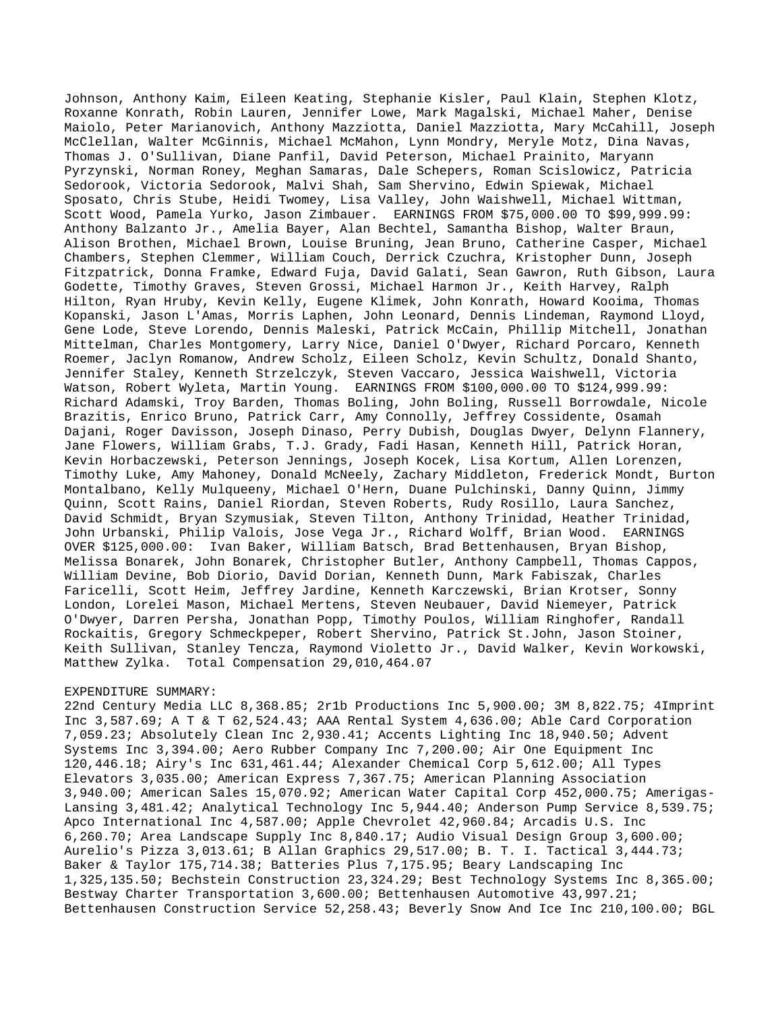Johnson, Anthony Kaim, Eileen Keating, Stephanie Kisler, Paul Klain, Stephen Klotz, Roxanne Konrath, Robin Lauren, Jennifer Lowe, Mark Magalski, Michael Maher, Denise Maiolo, Peter Marianovich, Anthony Mazziotta, Daniel Mazziotta, Mary McCahill, Joseph McClellan, Walter McGinnis, Michael McMahon, Lynn Mondry, Meryle Motz, Dina Navas, Thomas J. O'Sullivan, Diane Panfil, David Peterson, Michael Prainito, Maryann Pyrzynski, Norman Roney, Meghan Samaras, Dale Schepers, Roman Scislowicz, Patricia Sedorook, Victoria Sedorook, Malvi Shah, Sam Shervino, Edwin Spiewak, Michael Sposato, Chris Stube, Heidi Twomey, Lisa Valley, John Waishwell, Michael Wittman, Scott Wood, Pamela Yurko, Jason Zimbauer. EARNINGS FROM \$75,000.00 TO \$99,999.99: Anthony Balzanto Jr., Amelia Bayer, Alan Bechtel, Samantha Bishop, Walter Braun, Alison Brothen, Michael Brown, Louise Bruning, Jean Bruno, Catherine Casper, Michael Chambers, Stephen Clemmer, William Couch, Derrick Czuchra, Kristopher Dunn, Joseph Fitzpatrick, Donna Framke, Edward Fuja, David Galati, Sean Gawron, Ruth Gibson, Laura Godette, Timothy Graves, Steven Grossi, Michael Harmon Jr., Keith Harvey, Ralph Hilton, Ryan Hruby, Kevin Kelly, Eugene Klimek, John Konrath, Howard Kooima, Thomas Kopanski, Jason L'Amas, Morris Laphen, John Leonard, Dennis Lindeman, Raymond Lloyd, Gene Lode, Steve Lorendo, Dennis Maleski, Patrick McCain, Phillip Mitchell, Jonathan Mittelman, Charles Montgomery, Larry Nice, Daniel O'Dwyer, Richard Porcaro, Kenneth Roemer, Jaclyn Romanow, Andrew Scholz, Eileen Scholz, Kevin Schultz, Donald Shanto, Jennifer Staley, Kenneth Strzelczyk, Steven Vaccaro, Jessica Waishwell, Victoria Watson, Robert Wyleta, Martin Young. EARNINGS FROM \$100,000.00 TO \$124,999.99: Richard Adamski, Troy Barden, Thomas Boling, John Boling, Russell Borrowdale, Nicole Brazitis, Enrico Bruno, Patrick Carr, Amy Connolly, Jeffrey Cossidente, Osamah Dajani, Roger Davisson, Joseph Dinaso, Perry Dubish, Douglas Dwyer, Delynn Flannery, Jane Flowers, William Grabs, T.J. Grady, Fadi Hasan, Kenneth Hill, Patrick Horan, Kevin Horbaczewski, Peterson Jennings, Joseph Kocek, Lisa Kortum, Allen Lorenzen, Timothy Luke, Amy Mahoney, Donald McNeely, Zachary Middleton, Frederick Mondt, Burton Montalbano, Kelly Mulqueeny, Michael O'Hern, Duane Pulchinski, Danny Quinn, Jimmy Quinn, Scott Rains, Daniel Riordan, Steven Roberts, Rudy Rosillo, Laura Sanchez, David Schmidt, Bryan Szymusiak, Steven Tilton, Anthony Trinidad, Heather Trinidad, John Urbanski, Philip Valois, Jose Vega Jr., Richard Wolff, Brian Wood. EARNINGS OVER \$125,000.00: Ivan Baker, William Batsch, Brad Bettenhausen, Bryan Bishop, Melissa Bonarek, John Bonarek, Christopher Butler, Anthony Campbell, Thomas Cappos, William Devine, Bob Diorio, David Dorian, Kenneth Dunn, Mark Fabiszak, Charles Faricelli, Scott Heim, Jeffrey Jardine, Kenneth Karczewski, Brian Krotser, Sonny London, Lorelei Mason, Michael Mertens, Steven Neubauer, David Niemeyer, Patrick O'Dwyer, Darren Persha, Jonathan Popp, Timothy Poulos, William Ringhofer, Randall Rockaitis, Gregory Schmeckpeper, Robert Shervino, Patrick St.John, Jason Stoiner, Keith Sullivan, Stanley Tencza, Raymond Violetto Jr., David Walker, Kevin Workowski, Matthew Zylka. Total Compensation 29,010,464.07

## EXPENDITURE SUMMARY:

22nd Century Media LLC 8,368.85; 2r1b Productions Inc 5,900.00; 3M 8,822.75; 4Imprint Inc 3,587.69; A T & T 62,524.43; AAA Rental System 4,636.00; Able Card Corporation 7,059.23; Absolutely Clean Inc 2,930.41; Accents Lighting Inc 18,940.50; Advent Systems Inc 3,394.00; Aero Rubber Company Inc 7,200.00; Air One Equipment Inc 120,446.18; Airy's Inc 631,461.44; Alexander Chemical Corp 5,612.00; All Types Elevators 3,035.00; American Express 7,367.75; American Planning Association 3,940.00; American Sales 15,070.92; American Water Capital Corp 452,000.75; Amerigas-Lansing 3,481.42; Analytical Technology Inc 5,944.40; Anderson Pump Service 8,539.75; Apco International Inc 4,587.00; Apple Chevrolet 42,960.84; Arcadis U.S. Inc 6,260.70; Area Landscape Supply Inc 8,840.17; Audio Visual Design Group 3,600.00; Aurelio's Pizza 3,013.61; B Allan Graphics 29,517.00; B. T. I. Tactical 3,444.73; Baker & Taylor 175,714.38; Batteries Plus 7,175.95; Beary Landscaping Inc 1,325,135.50; Bechstein Construction 23,324.29; Best Technology Systems Inc 8,365.00; Bestway Charter Transportation 3,600.00; Bettenhausen Automotive 43,997.21; Bettenhausen Construction Service 52,258.43; Beverly Snow And Ice Inc 210,100.00; BGL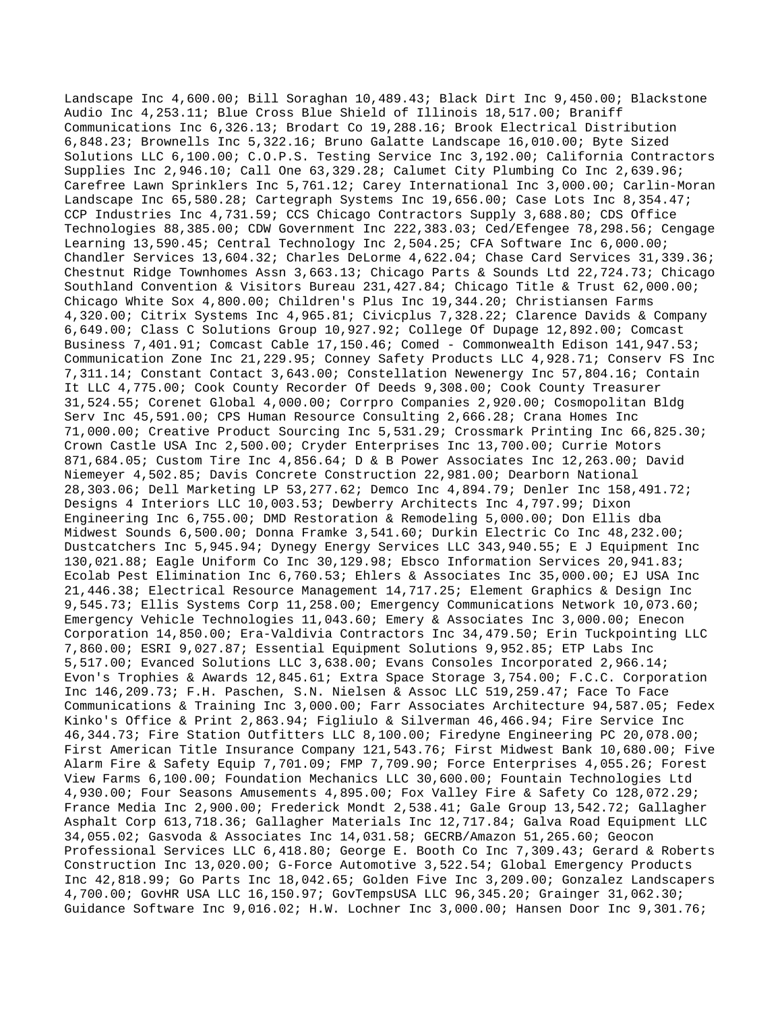Landscape Inc 4,600.00; Bill Soraghan 10,489.43; Black Dirt Inc 9,450.00; Blackstone Audio Inc 4,253.11; Blue Cross Blue Shield of Illinois 18,517.00; Braniff Communications Inc 6,326.13; Brodart Co 19,288.16; Brook Electrical Distribution 6,848.23; Brownells Inc 5,322.16; Bruno Galatte Landscape 16,010.00; Byte Sized Solutions LLC 6,100.00; C.O.P.S. Testing Service Inc 3,192.00; California Contractors Supplies Inc 2,946.10; Call One 63,329.28; Calumet City Plumbing Co Inc 2,639.96; Carefree Lawn Sprinklers Inc 5,761.12; Carey International Inc 3,000.00; Carlin-Moran Landscape Inc 65,580.28; Cartegraph Systems Inc 19,656.00; Case Lots Inc 8,354.47; CCP Industries Inc 4,731.59; CCS Chicago Contractors Supply 3,688.80; CDS Office Technologies 88,385.00; CDW Government Inc 222,383.03; Ced/Efengee 78,298.56; Cengage Learning 13,590.45; Central Technology Inc 2,504.25; CFA Software Inc 6,000.00; Chandler Services 13,604.32; Charles DeLorme 4,622.04; Chase Card Services 31,339.36; Chestnut Ridge Townhomes Assn 3,663.13; Chicago Parts & Sounds Ltd 22,724.73; Chicago Southland Convention & Visitors Bureau 231,427.84; Chicago Title & Trust 62,000.00; Chicago White Sox 4,800.00; Children's Plus Inc 19,344.20; Christiansen Farms 4,320.00; Citrix Systems Inc 4,965.81; Civicplus 7,328.22; Clarence Davids & Company 6,649.00; Class C Solutions Group 10,927.92; College Of Dupage 12,892.00; Comcast Business 7,401.91; Comcast Cable 17,150.46; Comed - Commonwealth Edison 141,947.53; Communication Zone Inc 21,229.95; Conney Safety Products LLC 4,928.71; Conserv FS Inc 7,311.14; Constant Contact 3,643.00; Constellation Newenergy Inc 57,804.16; Contain It LLC 4,775.00; Cook County Recorder Of Deeds 9,308.00; Cook County Treasurer 31,524.55; Corenet Global 4,000.00; Corrpro Companies 2,920.00; Cosmopolitan Bldg Serv Inc 45,591.00; CPS Human Resource Consulting 2,666.28; Crana Homes Inc 71,000.00; Creative Product Sourcing Inc 5,531.29; Crossmark Printing Inc 66,825.30; Crown Castle USA Inc 2,500.00; Cryder Enterprises Inc 13,700.00; Currie Motors 871,684.05; Custom Tire Inc 4,856.64; D & B Power Associates Inc 12,263.00; David Niemeyer 4,502.85; Davis Concrete Construction 22,981.00; Dearborn National 28,303.06; Dell Marketing LP 53,277.62; Demco Inc 4,894.79; Denler Inc 158,491.72; Designs 4 Interiors LLC 10,003.53; Dewberry Architects Inc 4,797.99; Dixon Engineering Inc 6,755.00; DMD Restoration & Remodeling 5,000.00; Don Ellis dba Midwest Sounds 6,500.00; Donna Framke 3,541.60; Durkin Electric Co Inc 48,232.00; Dustcatchers Inc 5,945.94; Dynegy Energy Services LLC 343,940.55; E J Equipment Inc 130,021.88; Eagle Uniform Co Inc 30,129.98; Ebsco Information Services 20,941.83; Ecolab Pest Elimination Inc 6,760.53; Ehlers & Associates Inc 35,000.00; EJ USA Inc 21,446.38; Electrical Resource Management 14,717.25; Element Graphics & Design Inc 9,545.73; Ellis Systems Corp 11,258.00; Emergency Communications Network 10,073.60; Emergency Vehicle Technologies 11,043.60; Emery & Associates Inc 3,000.00; Enecon Corporation 14,850.00; Era-Valdivia Contractors Inc 34,479.50; Erin Tuckpointing LLC 7,860.00; ESRI 9,027.87; Essential Equipment Solutions 9,952.85; ETP Labs Inc 5,517.00; Evanced Solutions LLC 3,638.00; Evans Consoles Incorporated 2,966.14; Evon's Trophies & Awards 12,845.61; Extra Space Storage 3,754.00; F.C.C. Corporation Inc 146,209.73; F.H. Paschen, S.N. Nielsen & Assoc LLC 519,259.47; Face To Face Communications & Training Inc 3,000.00; Farr Associates Architecture 94,587.05; Fedex Kinko's Office & Print 2,863.94; Figliulo & Silverman 46,466.94; Fire Service Inc 46,344.73; Fire Station Outfitters LLC 8,100.00; Firedyne Engineering PC 20,078.00; First American Title Insurance Company 121,543.76; First Midwest Bank 10,680.00; Five Alarm Fire & Safety Equip 7,701.09; FMP 7,709.90; Force Enterprises 4,055.26; Forest View Farms 6,100.00; Foundation Mechanics LLC 30,600.00; Fountain Technologies Ltd 4,930.00; Four Seasons Amusements 4,895.00; Fox Valley Fire & Safety Co 128,072.29; France Media Inc 2,900.00; Frederick Mondt 2,538.41; Gale Group 13,542.72; Gallagher Asphalt Corp 613,718.36; Gallagher Materials Inc 12,717.84; Galva Road Equipment LLC 34,055.02; Gasvoda & Associates Inc 14,031.58; GECRB/Amazon 51,265.60; Geocon Professional Services LLC 6,418.80; George E. Booth Co Inc 7,309.43; Gerard & Roberts Construction Inc 13,020.00; G-Force Automotive 3,522.54; Global Emergency Products Inc 42,818.99; Go Parts Inc 18,042.65; Golden Five Inc 3,209.00; Gonzalez Landscapers 4,700.00; GovHR USA LLC 16,150.97; GovTempsUSA LLC 96,345.20; Grainger 31,062.30; Guidance Software Inc 9,016.02; H.W. Lochner Inc 3,000.00; Hansen Door Inc 9,301.76;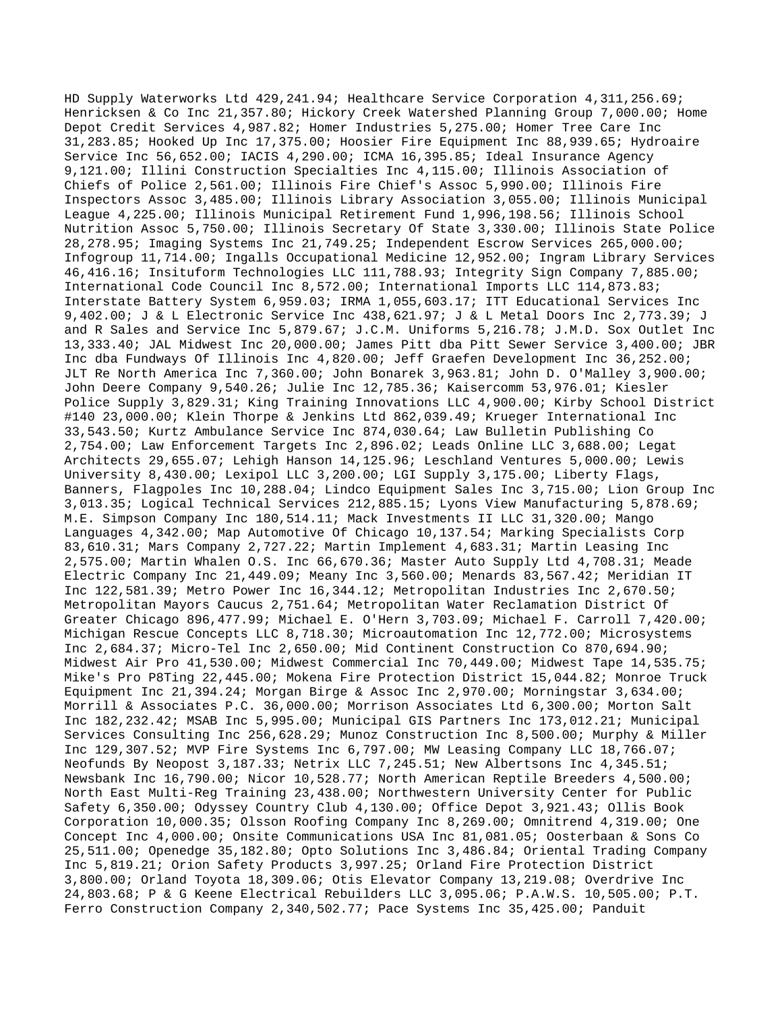HD Supply Waterworks Ltd 429,241.94; Healthcare Service Corporation 4,311,256.69; Henricksen & Co Inc 21,357.80; Hickory Creek Watershed Planning Group 7,000.00; Home Depot Credit Services 4,987.82; Homer Industries 5,275.00; Homer Tree Care Inc 31,283.85; Hooked Up Inc 17,375.00; Hoosier Fire Equipment Inc 88,939.65; Hydroaire Service Inc 56,652.00; IACIS 4,290.00; ICMA 16,395.85; Ideal Insurance Agency 9,121.00; Illini Construction Specialties Inc 4,115.00; Illinois Association of Chiefs of Police 2,561.00; Illinois Fire Chief's Assoc 5,990.00; Illinois Fire Inspectors Assoc 3,485.00; Illinois Library Association 3,055.00; Illinois Municipal League 4,225.00; Illinois Municipal Retirement Fund 1,996,198.56; Illinois School Nutrition Assoc 5,750.00; Illinois Secretary Of State 3,330.00; Illinois State Police 28,278.95; Imaging Systems Inc 21,749.25; Independent Escrow Services 265,000.00; Infogroup 11,714.00; Ingalls Occupational Medicine 12,952.00; Ingram Library Services 46,416.16; Insituform Technologies LLC 111,788.93; Integrity Sign Company 7,885.00; International Code Council Inc 8,572.00; International Imports LLC 114,873.83; Interstate Battery System 6,959.03; IRMA 1,055,603.17; ITT Educational Services Inc 9,402.00; J & L Electronic Service Inc 438,621.97; J & L Metal Doors Inc 2,773.39; J and R Sales and Service Inc 5,879.67; J.C.M. Uniforms 5,216.78; J.M.D. Sox Outlet Inc 13,333.40; JAL Midwest Inc 20,000.00; James Pitt dba Pitt Sewer Service 3,400.00; JBR Inc dba Fundways Of Illinois Inc 4,820.00; Jeff Graefen Development Inc 36,252.00; JLT Re North America Inc 7,360.00; John Bonarek 3,963.81; John D. O'Malley 3,900.00; John Deere Company 9,540.26; Julie Inc 12,785.36; Kaisercomm 53,976.01; Kiesler Police Supply 3,829.31; King Training Innovations LLC 4,900.00; Kirby School District #140 23,000.00; Klein Thorpe & Jenkins Ltd 862,039.49; Krueger International Inc 33,543.50; Kurtz Ambulance Service Inc 874,030.64; Law Bulletin Publishing Co 2,754.00; Law Enforcement Targets Inc 2,896.02; Leads Online LLC 3,688.00; Legat Architects 29,655.07; Lehigh Hanson 14,125.96; Leschland Ventures 5,000.00; Lewis University 8,430.00; Lexipol LLC 3,200.00; LGI Supply 3,175.00; Liberty Flags, Banners, Flagpoles Inc 10,288.04; Lindco Equipment Sales Inc 3,715.00; Lion Group Inc 3,013.35; Logical Technical Services 212,885.15; Lyons View Manufacturing 5,878.69; M.E. Simpson Company Inc 180,514.11; Mack Investments II LLC 31,320.00; Mango Languages 4,342.00; Map Automotive Of Chicago 10,137.54; Marking Specialists Corp 83,610.31; Mars Company 2,727.22; Martin Implement 4,683.31; Martin Leasing Inc 2,575.00; Martin Whalen O.S. Inc 66,670.36; Master Auto Supply Ltd 4,708.31; Meade Electric Company Inc 21,449.09; Meany Inc 3,560.00; Menards 83,567.42; Meridian IT Inc 122,581.39; Metro Power Inc 16,344.12; Metropolitan Industries Inc 2,670.50; Metropolitan Mayors Caucus 2,751.64; Metropolitan Water Reclamation District Of Greater Chicago 896,477.99; Michael E. O'Hern 3,703.09; Michael F. Carroll 7,420.00; Michigan Rescue Concepts LLC 8,718.30; Microautomation Inc 12,772.00; Microsystems Inc 2,684.37; Micro-Tel Inc 2,650.00; Mid Continent Construction Co 870,694.90; Midwest Air Pro 41,530.00; Midwest Commercial Inc 70,449.00; Midwest Tape 14,535.75; Mike's Pro P8Ting 22,445.00; Mokena Fire Protection District 15,044.82; Monroe Truck Equipment Inc 21,394.24; Morgan Birge & Assoc Inc 2,970.00; Morningstar 3,634.00; Morrill & Associates P.C. 36,000.00; Morrison Associates Ltd 6,300.00; Morton Salt Inc 182,232.42; MSAB Inc 5,995.00; Municipal GIS Partners Inc 173,012.21; Municipal Services Consulting Inc 256,628.29; Munoz Construction Inc 8,500.00; Murphy & Miller Inc 129,307.52; MVP Fire Systems Inc 6,797.00; MW Leasing Company LLC 18,766.07; Neofunds By Neopost 3,187.33; Netrix LLC 7,245.51; New Albertsons Inc 4,345.51; Newsbank Inc 16,790.00; Nicor 10,528.77; North American Reptile Breeders 4,500.00; North East Multi-Reg Training 23,438.00; Northwestern University Center for Public Safety 6,350.00; Odyssey Country Club 4,130.00; Office Depot 3,921.43; Ollis Book Corporation 10,000.35; Olsson Roofing Company Inc 8,269.00; Omnitrend 4,319.00; One Concept Inc 4,000.00; Onsite Communications USA Inc 81,081.05; Oosterbaan & Sons Co 25,511.00; Openedge 35,182.80; Opto Solutions Inc 3,486.84; Oriental Trading Company Inc 5,819.21; Orion Safety Products 3,997.25; Orland Fire Protection District 3,800.00; Orland Toyota 18,309.06; Otis Elevator Company 13,219.08; Overdrive Inc 24,803.68; P & G Keene Electrical Rebuilders LLC 3,095.06; P.A.W.S. 10,505.00; P.T. Ferro Construction Company 2,340,502.77; Pace Systems Inc 35,425.00; Panduit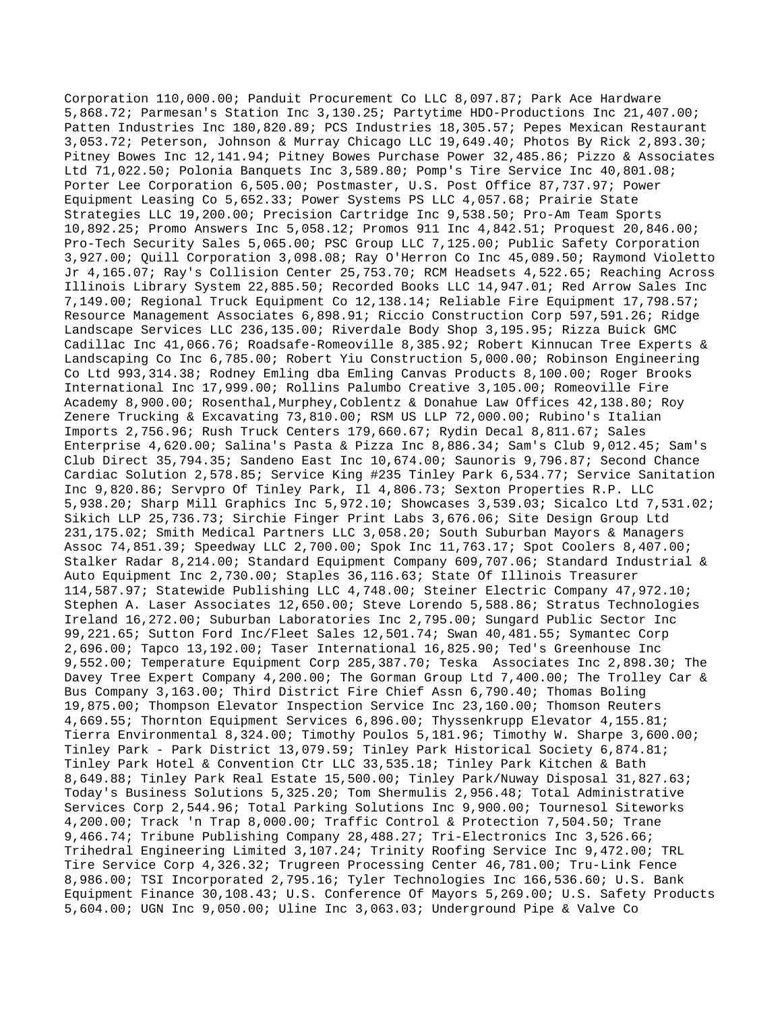Corporation 110,000.00; Panduit Procurement Co LLC 8,097.87; Park Ace Hardware 5,868.72; Parmesan's Station Inc 3,130.25; Partytime HDO-Productions Inc 21,407.00; Patten Industries Inc 180,820.89; PCS Industries 18,305.57; Pepes Mexican Restaurant 3,053.72; Peterson, Johnson & Murray Chicago LLC 19,649.40; Photos By Rick 2,893.30; Pitney Bowes Inc 12,141.94; Pitney Bowes Purchase Power 32,485.86; Pizzo & Associates Ltd 71,022.50; Polonia Banquets Inc 3,589.80; Pomp's Tire Service Inc 40,801.08; Porter Lee Corporation 6,505.00; Postmaster, U.S. Post Office 87,737.97; Power Equipment Leasing Co 5,652.33; Power Systems PS LLC 4,057.68; Prairie State Strategies LLC 19,200.00; Precision Cartridge Inc 9,538.50; Pro-Am Team Sports 10,892.25; Promo Answers Inc 5,058.12; Promos 911 Inc 4,842.51; Proquest 20,846.00; Pro-Tech Security Sales 5,065.00; PSC Group LLC 7,125.00; Public Safety Corporation 3,927.00; Quill Corporation 3,098.08; Ray O'Herron Co Inc 45,089.50; Raymond Violetto Jr 4,165.07; Ray's Collision Center 25,753.70; RCM Headsets 4,522.65; Reaching Across Illinois Library System 22,885.50; Recorded Books LLC 14,947.01; Red Arrow Sales Inc 7,149.00; Regional Truck Equipment Co 12,138.14; Reliable Fire Equipment 17,798.57; Resource Management Associates 6,898.91; Riccio Construction Corp 597,591.26; Ridge Landscape Services LLC 236,135.00; Riverdale Body Shop 3,195.95; Rizza Buick GMC Cadillac Inc 41,066.76; Roadsafe-Romeoville 8,385.92; Robert Kinnucan Tree Experts & Landscaping Co Inc 6,785.00; Robert Yiu Construction 5,000.00; Robinson Engineering Co Ltd 993,314.38; Rodney Emling dba Emling Canvas Products 8,100.00; Roger Brooks International Inc 17,999.00; Rollins Palumbo Creative 3,105.00; Romeoville Fire Academy 8,900.00; Rosenthal,Murphey,Coblentz & Donahue Law Offices 42,138.80; Roy Zenere Trucking & Excavating 73,810.00; RSM US LLP 72,000.00; Rubino's Italian Imports 2,756.96; Rush Truck Centers 179,660.67; Rydin Decal 8,811.67; Sales Enterprise 4,620.00; Salina's Pasta & Pizza Inc 8,886.34; Sam's Club 9,012.45; Sam's Club Direct 35,794.35; Sandeno East Inc 10,674.00; Saunoris 9,796.87; Second Chance Cardiac Solution 2,578.85; Service King #235 Tinley Park 6,534.77; Service Sanitation Inc 9,820.86; Servpro Of Tinley Park, Il 4,806.73; Sexton Properties R.P. LLC 5,938.20; Sharp Mill Graphics Inc 5,972.10; Showcases 3,539.03; Sicalco Ltd 7,531.02; Sikich LLP 25,736.73; Sirchie Finger Print Labs 3,676.06; Site Design Group Ltd 231,175.02; Smith Medical Partners LLC 3,058.20; South Suburban Mayors & Managers Assoc 74,851.39; Speedway LLC 2,700.00; Spok Inc 11,763.17; Spot Coolers 8,407.00; Stalker Radar 8,214.00; Standard Equipment Company 609,707.06; Standard Industrial & Auto Equipment Inc 2,730.00; Staples 36,116.63; State Of Illinois Treasurer 114,587.97; Statewide Publishing LLC 4,748.00; Steiner Electric Company 47,972.10; Stephen A. Laser Associates 12,650.00; Steve Lorendo 5,588.86; Stratus Technologies Ireland 16,272.00; Suburban Laboratories Inc 2,795.00; Sungard Public Sector Inc 99,221.65; Sutton Ford Inc/Fleet Sales 12,501.74; Swan 40,481.55; Symantec Corp 2,696.00; Tapco 13,192.00; Taser International 16,825.90; Ted's Greenhouse Inc 9,552.00; Temperature Equipment Corp 285,387.70; Teska Associates Inc 2,898.30; The Davey Tree Expert Company 4,200.00; The Gorman Group Ltd 7,400.00; The Trolley Car & Bus Company 3,163.00; Third District Fire Chief Assn 6,790.40; Thomas Boling 19,875.00; Thompson Elevator Inspection Service Inc 23,160.00; Thomson Reuters 4,669.55; Thornton Equipment Services 6,896.00; Thyssenkrupp Elevator 4,155.81; Tierra Environmental 8,324.00; Timothy Poulos 5,181.96; Timothy W. Sharpe 3,600.00; Tinley Park - Park District 13,079.59; Tinley Park Historical Society 6,874.81; Tinley Park Hotel & Convention Ctr LLC 33,535.18; Tinley Park Kitchen & Bath 8,649.88; Tinley Park Real Estate 15,500.00; Tinley Park/Nuway Disposal 31,827.63; Today's Business Solutions 5,325.20; Tom Shermulis 2,956.48; Total Administrative Services Corp 2,544.96; Total Parking Solutions Inc 9,900.00; Tournesol Siteworks 4,200.00; Track 'n Trap 8,000.00; Traffic Control & Protection 7,504.50; Trane 9,466.74; Tribune Publishing Company 28,488.27; Tri-Electronics Inc 3,526.66; Trihedral Engineering Limited 3,107.24; Trinity Roofing Service Inc 9,472.00; TRL Tire Service Corp 4,326.32; Trugreen Processing Center 46,781.00; Tru-Link Fence 8,986.00; TSI Incorporated 2,795.16; Tyler Technologies Inc 166,536.60; U.S. Bank Equipment Finance 30,108.43; U.S. Conference Of Mayors 5,269.00; U.S. Safety Products 5,604.00; UGN Inc 9,050.00; Uline Inc 3,063.03; Underground Pipe & Valve Co